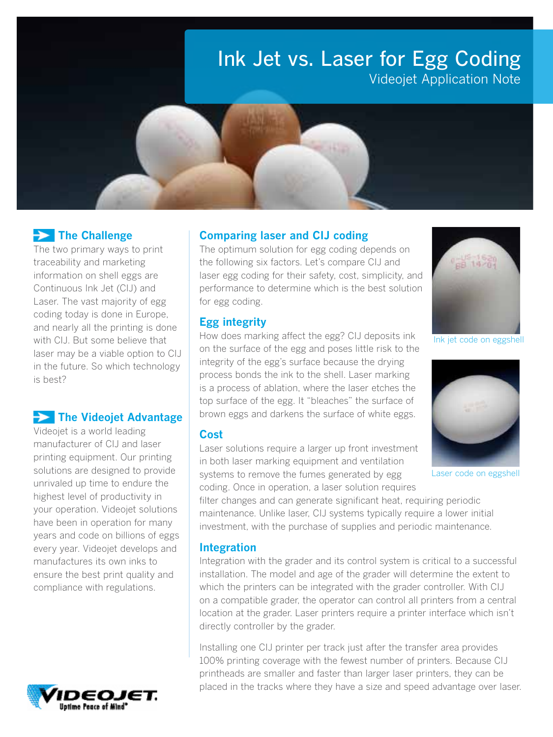# Ink Jet vs. Laser for Egg Coding Videojet Application Note

# $\rightarrow$  The Challenge

The two primary ways to print traceability and marketing information on shell eggs are Continuous Ink Jet (CIJ) and Laser. The vast majority of egg coding today is done in Europe, and nearly all the printing is done with CIJ. But some believe that laser may be a viable option to CIJ in the future. So which technology is best?

## $\Rightarrow$  The Videojet Advantage

Videojet is a world leading manufacturer of CIJ and laser printing equipment. Our printing solutions are designed to provide unrivaled up time to endure the highest level of productivity in your operation. Videojet solutions have been in operation for many years and code on billions of eggs every year. Videojet develops and manufactures its own inks to ensure the best print quality and compliance with regulations.



#### Comparing laser and CIJ coding

The optimum solution for egg coding depends on the following six factors. Let's compare CIJ and laser egg coding for their safety, cost, simplicity, and performance to determine which is the best solution for egg coding.

#### Egg integrity

How does marking affect the egg? CIJ deposits ink on the surface of the egg and poses little risk to the integrity of the egg's surface because the drying process bonds the ink to the shell. Laser marking is a process of ablation, where the laser etches the top surface of the egg. It "bleaches" the surface of brown eggs and darkens the surface of white eggs.

#### Cost

Laser solutions require a larger up front investment in both laser marking equipment and ventilation systems to remove the fumes generated by egg coding. Once in operation, a laser solution requires

filter changes and can generate significant heat, requiring periodic maintenance. Unlike laser, CIJ systems typically require a lower initial investment, with the purchase of supplies and periodic maintenance.

#### Integration

Integration with the grader and its control system is critical to a successful installation. The model and age of the grader will determine the extent to which the printers can be integrated with the grader controller. With CIJ on a compatible grader, the operator can control all printers from a central location at the grader. Laser printers require a printer interface which isn't directly controller by the grader.

Installing one CIJ printer per track just after the transfer area provides 100% printing coverage with the fewest number of printers. Because CIJ printheads are smaller and faster than larger laser printers, they can be placed in the tracks where they have a size and speed advantage over laser.



Ink jet code on eggshell



Laser code on eggshell